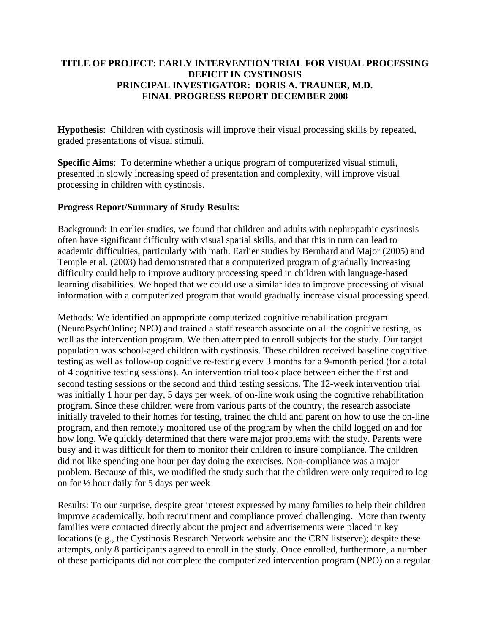## **TITLE OF PROJECT: EARLY INTERVENTION TRIAL FOR VISUAL PROCESSING DEFICIT IN CYSTINOSIS PRINCIPAL INVESTIGATOR: DORIS A. TRAUNER, M.D. FINAL PROGRESS REPORT DECEMBER 2008**

**Hypothesis**: Children with cystinosis will improve their visual processing skills by repeated, graded presentations of visual stimuli.

**Specific Aims**: To determine whether a unique program of computerized visual stimuli, presented in slowly increasing speed of presentation and complexity, will improve visual processing in children with cystinosis.

## **Progress Report/Summary of Study Results**:

Background: In earlier studies, we found that children and adults with nephropathic cystinosis often have significant difficulty with visual spatial skills, and that this in turn can lead to academic difficulties, particularly with math. Earlier studies by Bernhard and Major (2005) and Temple et al. (2003) had demonstrated that a computerized program of gradually increasing difficulty could help to improve auditory processing speed in children with language-based learning disabilities. We hoped that we could use a similar idea to improve processing of visual information with a computerized program that would gradually increase visual processing speed.

Methods: We identified an appropriate computerized cognitive rehabilitation program (NeuroPsychOnline; NPO) and trained a staff research associate on all the cognitive testing, as well as the intervention program. We then attempted to enroll subjects for the study. Our target population was school-aged children with cystinosis. These children received baseline cognitive testing as well as follow-up cognitive re-testing every 3 months for a 9-month period (for a total of 4 cognitive testing sessions). An intervention trial took place between either the first and second testing sessions or the second and third testing sessions. The 12-week intervention trial was initially 1 hour per day, 5 days per week, of on-line work using the cognitive rehabilitation program. Since these children were from various parts of the country, the research associate initially traveled to their homes for testing, trained the child and parent on how to use the on-line program, and then remotely monitored use of the program by when the child logged on and for how long. We quickly determined that there were major problems with the study. Parents were busy and it was difficult for them to monitor their children to insure compliance. The children did not like spending one hour per day doing the exercises. Non-compliance was a major problem. Because of this, we modified the study such that the children were only required to log on for ½ hour daily for 5 days per week

Results: To our surprise, despite great interest expressed by many families to help their children improve academically, both recruitment and compliance proved challenging. More than twenty families were contacted directly about the project and advertisements were placed in key locations (e.g., the Cystinosis Research Network website and the CRN listserve); despite these attempts, only 8 participants agreed to enroll in the study. Once enrolled, furthermore, a number of these participants did not complete the computerized intervention program (NPO) on a regular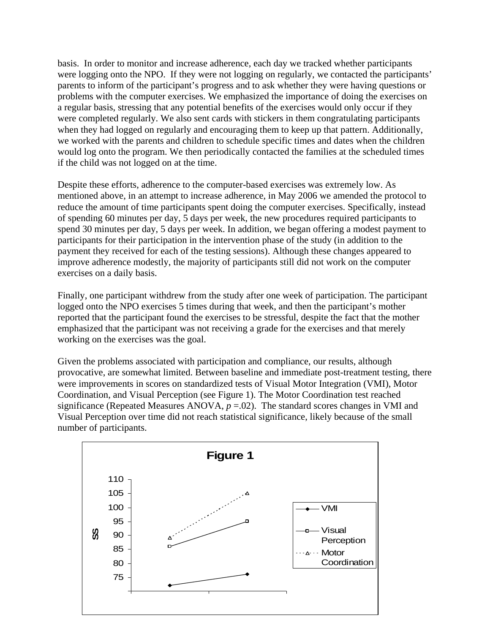basis. In order to monitor and increase adherence, each day we tracked whether participants were logging onto the NPO. If they were not logging on regularly, we contacted the participants' parents to inform of the participant's progress and to ask whether they were having questions or problems with the computer exercises. We emphasized the importance of doing the exercises on a regular basis, stressing that any potential benefits of the exercises would only occur if they were completed regularly. We also sent cards with stickers in them congratulating participants when they had logged on regularly and encouraging them to keep up that pattern. Additionally, we worked with the parents and children to schedule specific times and dates when the children would log onto the program. We then periodically contacted the families at the scheduled times if the child was not logged on at the time.

Despite these efforts, adherence to the computer-based exercises was extremely low. As mentioned above, in an attempt to increase adherence, in May 2006 we amended the protocol to reduce the amount of time participants spent doing the computer exercises. Specifically, instead of spending 60 minutes per day, 5 days per week, the new procedures required participants to spend 30 minutes per day, 5 days per week. In addition, we began offering a modest payment to participants for their participation in the intervention phase of the study (in addition to the payment they received for each of the testing sessions). Although these changes appeared to improve adherence modestly, the majority of participants still did not work on the computer exercises on a daily basis.

Finally, one participant withdrew from the study after one week of participation. The participant logged onto the NPO exercises 5 times during that week, and then the participant's mother reported that the participant found the exercises to be stressful, despite the fact that the mother emphasized that the participant was not receiving a grade for the exercises and that merely working on the exercises was the goal.

Given the problems associated with participation and compliance, our results, although provocative, are somewhat limited. Between baseline and immediate post-treatment testing, there were improvements in scores on standardized tests of Visual Motor Integration (VMI), Motor Coordination, and Visual Perception (see Figure 1). The Motor Coordination test reached significance (Repeated Measures ANOVA,  $p = 0.02$ ). The standard scores changes in VMI and Visual Perception over time did not reach statistical significance, likely because of the small number of participants.

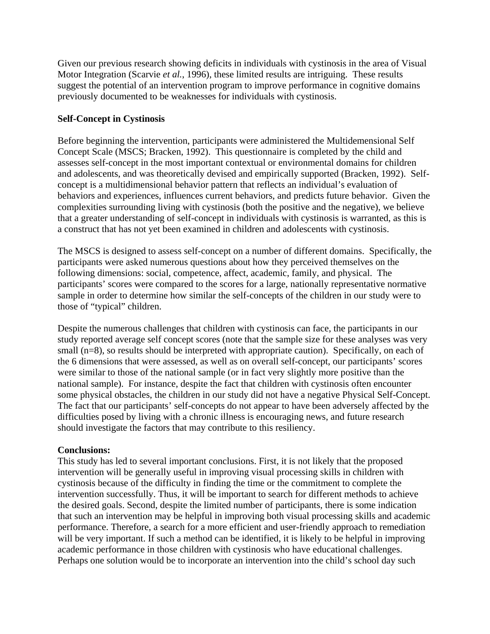Given our previous research showing deficits in individuals with cystinosis in the area of Visual Motor Integration (Scarvie *et al.*, 1996), these limited results are intriguing. These results suggest the potential of an intervention program to improve performance in cognitive domains previously documented to be weaknesses for individuals with cystinosis.

# **Self-Concept in Cystinosis**

Before beginning the intervention, participants were administered the Multidemensional Self Concept Scale (MSCS; Bracken, 1992). This questionnaire is completed by the child and assesses self-concept in the most important contextual or environmental domains for children and adolescents, and was theoretically devised and empirically supported (Bracken, 1992). Selfconcept is a multidimensional behavior pattern that reflects an individual's evaluation of behaviors and experiences, influences current behaviors, and predicts future behavior. Given the complexities surrounding living with cystinosis (both the positive and the negative), we believe that a greater understanding of self-concept in individuals with cystinosis is warranted, as this is a construct that has not yet been examined in children and adolescents with cystinosis.

The MSCS is designed to assess self-concept on a number of different domains. Specifically, the participants were asked numerous questions about how they perceived themselves on the following dimensions: social, competence, affect, academic, family, and physical. The participants' scores were compared to the scores for a large, nationally representative normative sample in order to determine how similar the self-concepts of the children in our study were to those of "typical" children.

Despite the numerous challenges that children with cystinosis can face, the participants in our study reported average self concept scores (note that the sample size for these analyses was very small (n=8), so results should be interpreted with appropriate caution). Specifically, on each of the 6 dimensions that were assessed, as well as on overall self-concept, our participants' scores were similar to those of the national sample (or in fact very slightly more positive than the national sample). For instance, despite the fact that children with cystinosis often encounter some physical obstacles, the children in our study did not have a negative Physical Self-Concept. The fact that our participants' self-concepts do not appear to have been adversely affected by the difficulties posed by living with a chronic illness is encouraging news, and future research should investigate the factors that may contribute to this resiliency.

#### **Conclusions:**

This study has led to several important conclusions. First, it is not likely that the proposed intervention will be generally useful in improving visual processing skills in children with cystinosis because of the difficulty in finding the time or the commitment to complete the intervention successfully. Thus, it will be important to search for different methods to achieve the desired goals. Second, despite the limited number of participants, there is some indication that such an intervention may be helpful in improving both visual processing skills and academic performance. Therefore, a search for a more efficient and user-friendly approach to remediation will be very important. If such a method can be identified, it is likely to be helpful in improving academic performance in those children with cystinosis who have educational challenges. Perhaps one solution would be to incorporate an intervention into the child's school day such